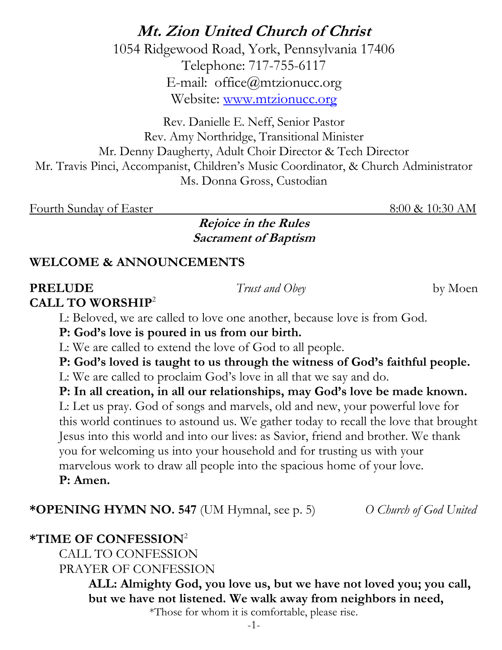## **Mt. Zion United Church of Christ**

1054 Ridgewood Road, York, Pennsylvania 17406 Telephone: 717-755-6117 E-mail: office@mtzionucc.org Website: [www.mtzionucc.org](http://www.mtzionucc.org/)

Rev. Danielle E. Neff, Senior Pastor Rev. Amy Northridge, Transitional Minister Mr. Denny Daugherty, Adult Choir Director & Tech Director Mr. Travis Pinci, Accompanist, Children's Music Coordinator, & Church Administrator Ms. Donna Gross, Custodian

Fourth Sunday of Easter 8:00 & 10:30 AM

**Rejoice in the Rules Sacrament of Baptism**

#### **WELCOME & ANNOUNCEMENTS**

### **PRELUDE** *Trust and Obey*by Moen

**CALL TO WORSHIP**<sup>2</sup>

L: Beloved, we are called to love one another, because love is from God.

**P: God's love is poured in us from our birth.**

L: We are called to extend the love of God to all people.

**P: God's loved is taught to us through the witness of God's faithful people.**

L: We are called to proclaim God's love in all that we say and do.

**P: In all creation, in all our relationships, may God's love be made known.** 

L: Let us pray. God of songs and marvels, old and new, your powerful love for this world continues to astound us. We gather today to recall the love that brought Jesus into this world and into our lives: as Savior, friend and brother. We thank you for welcoming us into your household and for trusting us with your marvelous work to draw all people into the spacious home of your love. **P: Amen.** 

**\*OPENING HYMN NO. 547** (UM Hymnal, see p. 5) *O Church of God United*

#### **\*TIME OF CONFESSION**<sup>2</sup>

CALL TO CONFESSION PRAYER OF CONFESSION

> **ALL: Almighty God, you love us, but we have not loved you; you call, but we have not listened. We walk away from neighbors in need,**

\*Those for whom it is comfortable, please rise.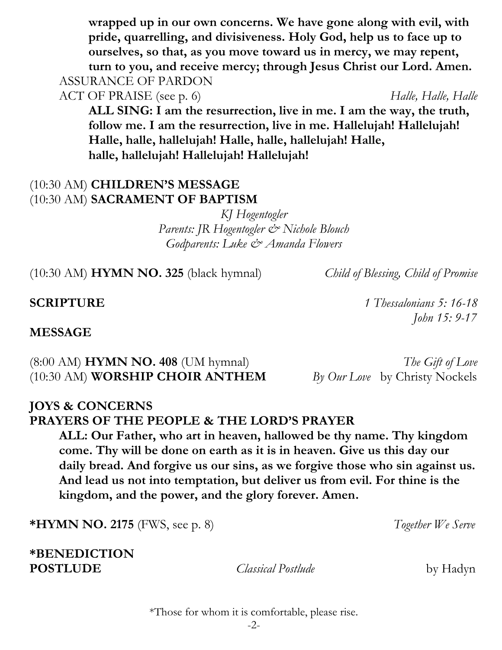#### -2-

**wrapped up in our own concerns. We have gone along with evil, with pride, quarrelling, and divisiveness. Holy God, help us to face up to ourselves, so that, as you move toward us in mercy, we may repent, turn to you, and receive mercy; through Jesus Christ our Lord. Amen.**  ASSURANCE OF PARDON

ACT OF PRAISE (see p. 6) *Halle, Halle, Halle, Halle*, *Halle*, *Halle*, *Halle*, *Halle* 

**ALL SING: I am the resurrection, live in me. I am the way, the truth, follow me. I am the resurrection, live in me. Hallelujah! Hallelujah! Halle, halle, hallelujah! Halle, halle, hallelujah! Halle, halle, hallelujah! Hallelujah! Hallelujah!**

#### (10:30 AM) **CHILDREN'S MESSAGE** (10:30 AM) **SACRAMENT OF BAPTISM**

*KJ Hogentogler Parents: JR Hogentogler & Nichole Blouch Godparents: Luke & Amanda Flowers*

(10:30 AM) **HYMN NO. 325** (black hymnal) *Child of Blessing, Child of Promise*

**SCRIPTURE** *1 Thessalonians 5: 16-18*

*John 15: 9-17*

#### **MESSAGE**

(8:00 AM) **HYMN NO. 408** (UM hymnal) *The Gift of Love* (10:30 AM) **WORSHIP CHOIR ANTHEM** *By Our Love* by Christy Nockels

#### **JOYS & CONCERNS PRAYERS OF THE PEOPLE & THE LORD'S PRAYER**

**ALL: Our Father, who art in heaven, hallowed be thy name. Thy kingdom come. Thy will be done on earth as it is in heaven. Give us this day our daily bread. And forgive us our sins, as we forgive those who sin against us. And lead us not into temptation, but deliver us from evil. For thine is the kingdom, and the power, and the glory forever. Amen.**

**\*HYMN NO. 2175** (FWS, see p. 8) *Together We Serve*

**\*BENEDICTION POSTLUDE** *Classical Postlude*by Hadyn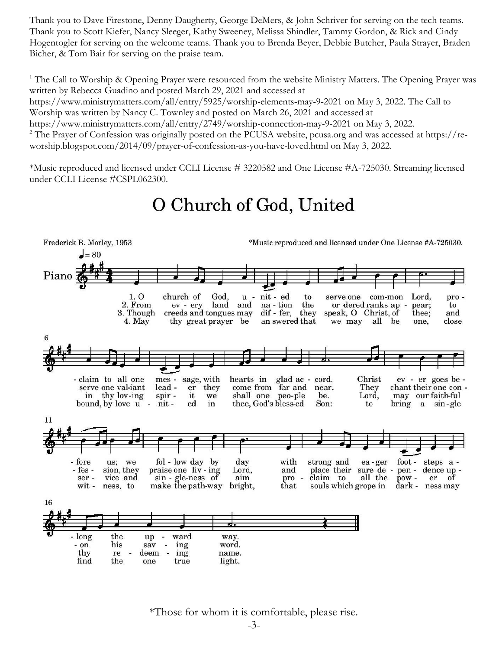Thank you to Dave Firestone, Denny Daugherty, George DeMers, & John Schriver for serving on the tech teams. Thank you to Scott Kiefer, Nancy Sleeger, Kathy Sweeney, Melissa Shindler, Tammy Gordon, & Rick and Cindy Hogentogler for serving on the welcome teams. Thank you to Brenda Beyer, Debbie Butcher, Paula Strayer, Braden Bicher, & Tom Bair for serving on the praise team.

<sup>1</sup> The Call to Worship & Opening Prayer were resourced from the website Ministry Matters. The Opening Prayer was written by Rebecca Guadino and posted March 29, 2021 and accessed at

https://www.ministrymatters.com/all/entry/5925/worship-elements-may-9-2021 on May 3, 2022. The Call to Worship was written by Nancy C. Townley and posted on March 26, 2021 and accessed at

https://www.ministrymatters.com/all/entry/2749/worship-connection-may-9-2021 on May 3, 2022.

<sup>2</sup> The Prayer of Confession was originally posted on the PCUSA website, pcusa.org and was accessed at https://reworship.blogspot.com/2014/09/prayer-of-confession-as-you-have-loved.html on May 3, 2022.

\*Music reproduced and licensed under CCLI License # 3220582 and One License #A-725030. Streaming licensed under CCLI License #CSPL062300.

# O Church of God, United



\*Those for whom it is comfortable, please rise.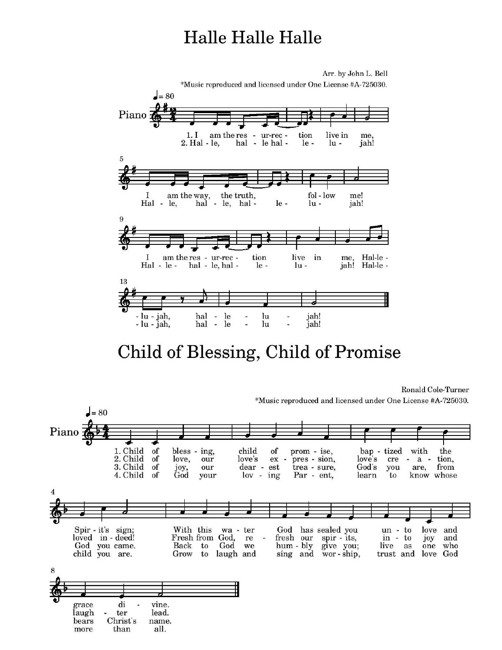# **Halle Halle Halle**



# Child of Blessing, Child of Promise

Ronald Cole-Turner \*Music reproduced and licensed under One License #A-725030.